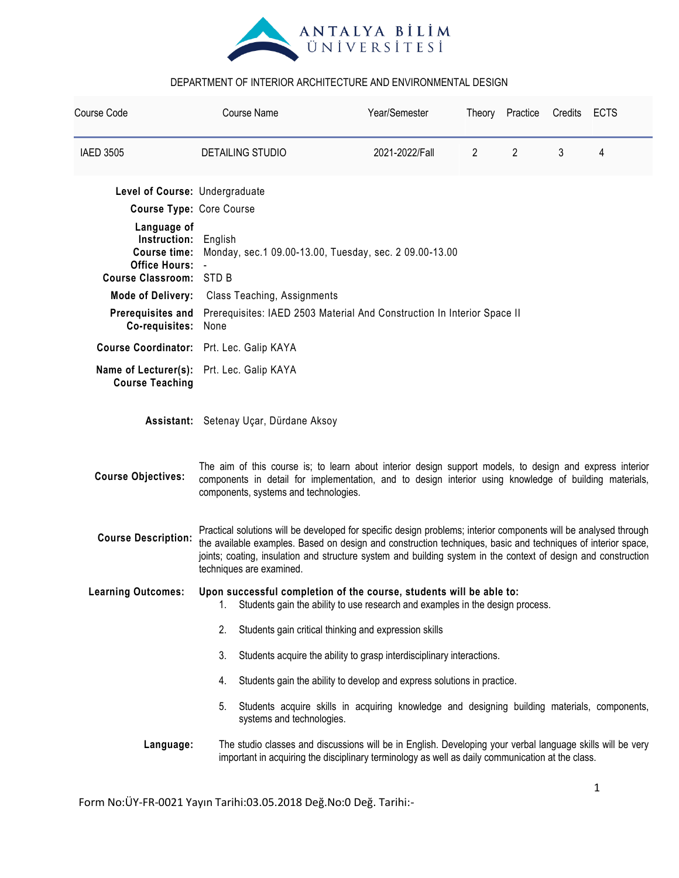

| Course Code                                                                                                  |                                                                                                                                                                                                                                                                                                                                                                                | <b>Course Name</b>        | Year/Semester                                                                                |                | Theory Practice | Credits | <b>ECTS</b> |
|--------------------------------------------------------------------------------------------------------------|--------------------------------------------------------------------------------------------------------------------------------------------------------------------------------------------------------------------------------------------------------------------------------------------------------------------------------------------------------------------------------|---------------------------|----------------------------------------------------------------------------------------------|----------------|-----------------|---------|-------------|
| <b>IAED 3505</b>                                                                                             |                                                                                                                                                                                                                                                                                                                                                                                | <b>DETAILING STUDIO</b>   | 2021-2022/Fall                                                                               | $\overline{2}$ | $\overline{2}$  | 3       | 4           |
| Level of Course: Undergraduate                                                                               |                                                                                                                                                                                                                                                                                                                                                                                |                           |                                                                                              |                |                 |         |             |
|                                                                                                              | <b>Course Type: Core Course</b>                                                                                                                                                                                                                                                                                                                                                |                           |                                                                                              |                |                 |         |             |
| Language of<br>Instruction:<br><b>Course time:</b><br><b>Office Hours:</b><br><b>Course Classroom: STD B</b> | English<br>Monday, sec. 1 09.00-13.00, Tuesday, sec. 2 09.00-13.00                                                                                                                                                                                                                                                                                                             |                           |                                                                                              |                |                 |         |             |
| <b>Mode of Delivery:</b>                                                                                     | <b>Class Teaching, Assignments</b>                                                                                                                                                                                                                                                                                                                                             |                           |                                                                                              |                |                 |         |             |
| <b>Prerequisites and</b>                                                                                     | Prerequisites: IAED 2503 Material And Construction In Interior Space II                                                                                                                                                                                                                                                                                                        |                           |                                                                                              |                |                 |         |             |
| Co-requisites:                                                                                               | None                                                                                                                                                                                                                                                                                                                                                                           |                           |                                                                                              |                |                 |         |             |
| Course Coordinator: Prt. Lec. Galip KAYA                                                                     |                                                                                                                                                                                                                                                                                                                                                                                |                           |                                                                                              |                |                 |         |             |
| <b>Course Teaching</b>                                                                                       | Name of Lecturer(s): Prt. Lec. Galip KAYA                                                                                                                                                                                                                                                                                                                                      |                           |                                                                                              |                |                 |         |             |
|                                                                                                              | Assistant: Setenay Uçar, Dürdane Aksoy                                                                                                                                                                                                                                                                                                                                         |                           |                                                                                              |                |                 |         |             |
| <b>Course Objectives:</b>                                                                                    | The aim of this course is; to learn about interior design support models, to design and express interior<br>components in detail for implementation, and to design interior using knowledge of building materials,<br>components, systems and technologies.                                                                                                                    |                           |                                                                                              |                |                 |         |             |
| <b>Course Description:</b>                                                                                   | Practical solutions will be developed for specific design problems; interior components will be analysed through<br>the available examples. Based on design and construction techniques, basic and techniques of interior space,<br>joints; coating, insulation and structure system and building system in the context of design and construction<br>techniques are examined. |                           |                                                                                              |                |                 |         |             |
| <b>Learning Outcomes:</b>                                                                                    | Upon successful completion of the course, students will be able to:<br>Students gain the ability to use research and examples in the design process.<br>1.                                                                                                                                                                                                                     |                           |                                                                                              |                |                 |         |             |
|                                                                                                              | Students gain critical thinking and expression skills<br>2.                                                                                                                                                                                                                                                                                                                    |                           |                                                                                              |                |                 |         |             |
| Students acquire the ability to grasp interdisciplinary interactions.<br>3.                                  |                                                                                                                                                                                                                                                                                                                                                                                |                           |                                                                                              |                |                 |         |             |
|                                                                                                              | Students gain the ability to develop and express solutions in practice.<br>4.                                                                                                                                                                                                                                                                                                  |                           |                                                                                              |                |                 |         |             |
|                                                                                                              | 5.                                                                                                                                                                                                                                                                                                                                                                             | systems and technologies. | Students acquire skills in acquiring knowledge and designing building materials, components, |                |                 |         |             |
| Language:                                                                                                    | The studio classes and discussions will be in English. Developing your verbal language skills will be very<br>important in acquiring the disciplinary terminology as well as daily communication at the class.                                                                                                                                                                 |                           |                                                                                              |                |                 |         |             |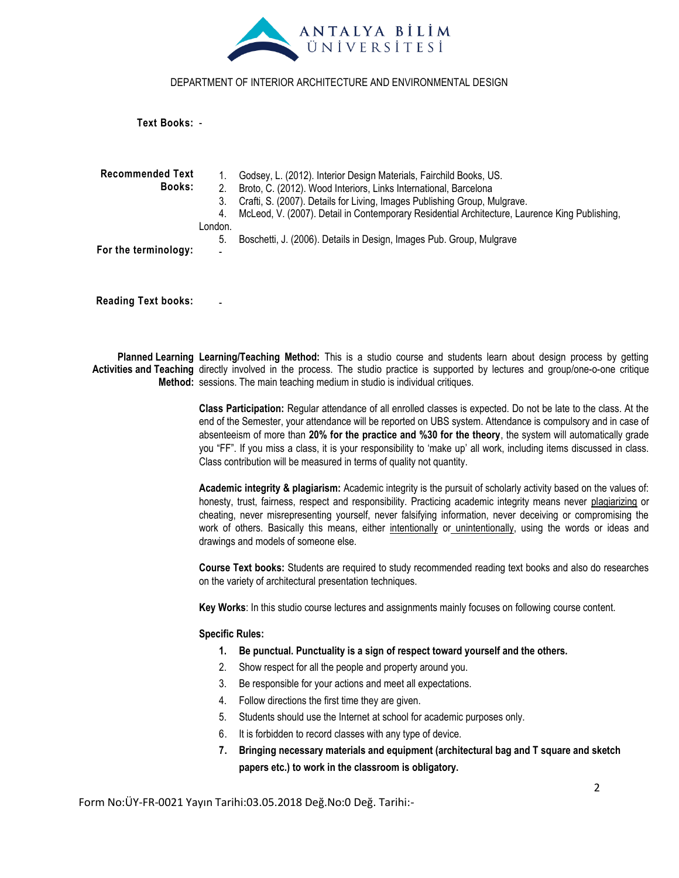

**Text Books:** -

**Recommended Text Books: For the terminology:** 1. Godsey, L. (2012). Interior Design Materials, Fairchild Books, US. 2. Broto, C. (2012). Wood Interiors, Links International, Barcelona 3. Crafti, S. (2007). Details for Living, Images Publishing Group, Mulgrave. 4. McLeod, V. (2007). Detail in Contemporary Residential Architecture, Laurence King Publishing, London. 5. Boschetti, J. (2006). Details in Design, Images Pub. Group, Mulgrave -

**Reading Text books:**

-

**Planned Learning Learning/Teaching Method:** This is a studio course and students learn about design process by getting Activities and Teaching directly involved in the process. The studio practice is supported by lectures and group/one-o-one critique **Method:** sessions. The main teaching medium in studio is individual critiques.

> **Class Participation:** Regular attendance of all enrolled classes is expected. Do not be late to the class. At the end of the Semester, your attendance will be reported on UBS system. Attendance is compulsory and in case of absenteeism of more than **20% for the practice and %30 for the theory**, the system will automatically grade you "FF". If you miss a class, it is your responsibility to "make up" all work, including items discussed in class. Class contribution will be measured in terms of quality not quantity.

> **Academic integrity & plagiarism:** Academic integrity is the pursuit of scholarly activity based on the values of: honesty, trust, fairness, respect and responsibility. Practicing academic integrity means never plagiarizing or cheating, never misrepresenting yourself, never falsifying information, never deceiving or compromising the work of others. Basically this means, either intentionally or unintentionally, using the words or ideas and drawings and models of someone else.

> **Course Text books:** Students are required to study recommended reading text books and also do researches on the variety of architectural presentation techniques.

**Key Works**: In this studio course lectures and assignments mainly focuses on following course content.

#### **Specific Rules:**

- **1. Be punctual. Punctuality is a sign of respect toward yourself and the others.**
- 2. Show respect for all the people and property around you.
- 3. Be responsible for your actions and meet all expectations.
- 4. Follow directions the first time they are given.
- 5. Students should use the Internet at school for academic purposes only.
- 6. It is forbidden to record classes with any type of device.
- **7. Bringing necessary materials and equipment (architectural bag and T square and sketch papers etc.) to work in the classroom is obligatory.**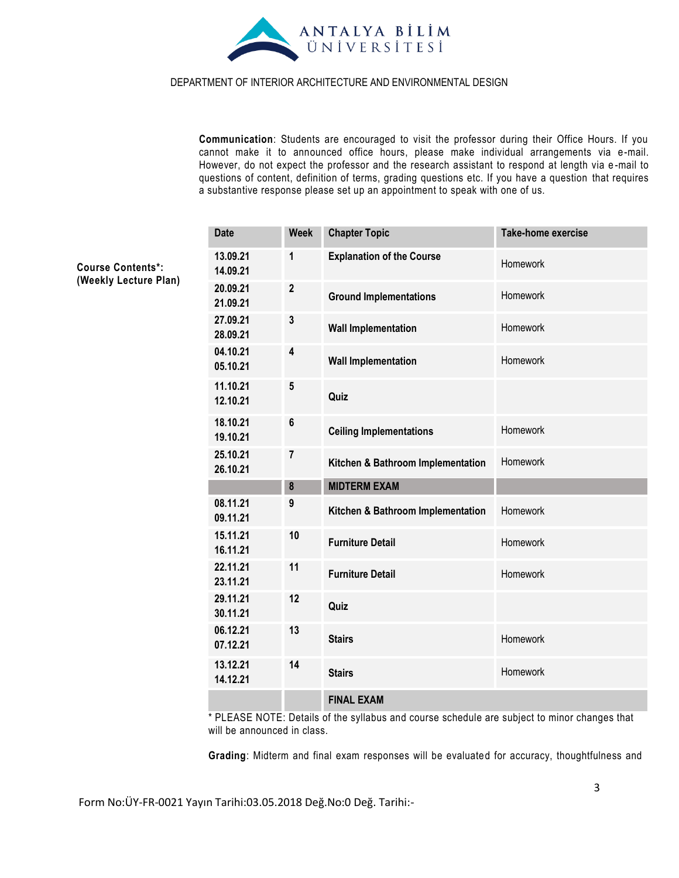

**Communication**: Students are encouraged to visit the professor during their Office Hours. If you cannot make it to announced office hours, please make individual arrangements via e-mail. However, do not expect the professor and the research assistant to respond at length via e -mail to questions of content, definition of terms, grading questions etc. If you have a question that requires a substantive response please set up an appointment to speak with one of us.

| <b>Date</b>          | <b>Week</b>      | <b>Chapter Topic</b>              | <b>Take-home exercise</b> |  |  |
|----------------------|------------------|-----------------------------------|---------------------------|--|--|
| 13.09.21<br>14.09.21 | 1                | <b>Explanation of the Course</b>  | Homework                  |  |  |
| 20.09.21<br>21.09.21 | $\boldsymbol{2}$ | <b>Ground Implementations</b>     | Homework                  |  |  |
| 27.09.21<br>28.09.21 | $\mathbf 3$      | <b>Wall Implementation</b>        | Homework                  |  |  |
| 04.10.21<br>05.10.21 | 4                | <b>Wall Implementation</b>        | Homework                  |  |  |
| 11.10.21<br>12.10.21 | 5                | Quiz                              |                           |  |  |
| 18.10.21<br>19.10.21 | $\bf 6$          | <b>Ceiling Implementations</b>    | Homework                  |  |  |
| 25.10.21<br>26.10.21 | 7                | Kitchen & Bathroom Implementation | Homework                  |  |  |
|                      | $\pmb{8}$        | <b>MIDTERM EXAM</b>               |                           |  |  |
| 08.11.21<br>09.11.21 | 9                | Kitchen & Bathroom Implementation | Homework                  |  |  |
| 15.11.21<br>16.11.21 | 10               | <b>Furniture Detail</b>           | Homework                  |  |  |
| 22.11.21<br>23.11.21 | 11               | <b>Furniture Detail</b>           | Homework                  |  |  |
| 29.11.21<br>30.11.21 | 12               | Quiz                              |                           |  |  |
| 06.12.21<br>07.12.21 | 13               | <b>Stairs</b>                     | Homework                  |  |  |
| 13.12.21<br>14.12.21 | 14               | <b>Stairs</b>                     | Homework                  |  |  |
|                      |                  | <b>FINAL EXAM</b>                 |                           |  |  |

\* PLEASE NOTE: Details of the syllabus and course schedule are subject to minor changes that will be announced in class.

**Grading**: Midterm and final exam responses will be evaluated for accuracy, thoughtfulness and

**Course Contents\*: (Weekly Lecture Plan)**